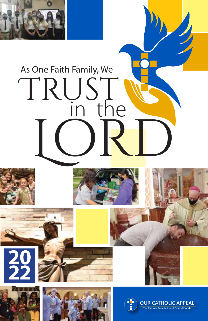

# in the TRUST LORD As One Faith Family, We











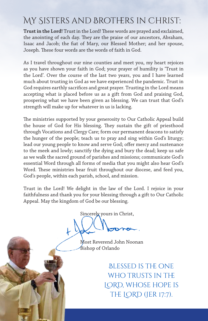## My Sisters and Brothers in Christ:

**Trust in the Lord!** Trust in the Lord! These words are prayed and exclaimed, the anointing of each day. They are the praise of our ancestors, Abraham, Isaac and Jacob; the fiat of Mary, our Blessed Mother; and her spouse, Joseph. These four words are the words of faith in God.

As I travel throughout our nine counties and meet you, my heart rejoices as you have shown your faith in God; your prayer of humility is 'Trust in the Lord'. Over the course of the last two years, you and I have learned much about trusting in God as we have experienced the pandemic. Trust in God requires earthly sacrifices and great prayer. Trusting in the Lord means accepting what is placed before us as a gift from God and praising God, prospering what we have been given as blessing. We can trust that God's strength will make up for whatever in us is lacking.

The ministries supported by your generosity to Our Catholic Appeal build the house of God for His blessing. They sustain the gift of priesthood through Vocations and Clergy Care; form our permanent deacons to satisfy the hunger of the people; teach us to pray and sing within God's liturgy; lead our young people to know and serve God; offer mercy and sustenance to the meek and lowly; sanctify the dying and bury the dead; keep us safe as we walk the sacred ground of parishes and missions; communicate God's essential Word through all forms of media that you might also hear God's Word. These ministries bear fruit throughout our diocese, and feed you, God's people, within each parish, school, and mission.

Trust in the Lord! We delight in the law of the Lord. I rejoice in your faithfulness and thank you for your blessing through a gift to Our Catholic Appeal. May the kingdom of God be our blessing.

Sincerely yours in Christ,

 Most Reverend John Noonan Bishop of Orlando

> Blessed is the one WHO TRUSTS IN THE LORD, whose hope is THE LORD (JER 17:7).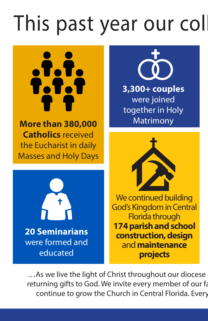# This past year our coll

atata<br>1.1.1

**More than 380,000 Catholics** received the Eucharist in daily Masses and Holy Days





**3,300+ couples** were joined together in Holy Matrimony



We continued building God's Kingdom in Central Florida through **174 parish and school construction, design**  and **maintenance projects**

... As we live the light of Christ throughout our diocese returning gifts to God. We invite every member of our fa continue to grow the Church in Central Florida. Every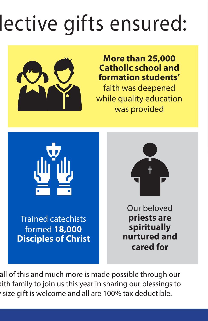# lective gifts ensured:



## **More than 25,000 Catholic school and formation students'**

faith was deepened while quality education was provided



all of this and much more is made possible through our aith family to join us this year in sharing our blessings to size gift is welcome and all are 100% tax deductible.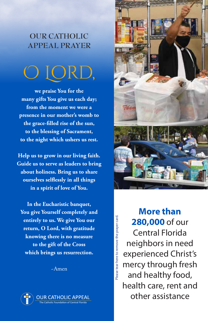### **OUR CATHOLIC APPEAL PRAYER**



**we praise You for the many gifts You give us each day; from the moment we were a presence in our mother's womb to the grace-filled rise of the sun, to the blessing of Sacrament, to the night which ushers us rest.**

**Help us to grow in our living faith. Guide us to serve as leaders to bring about holiness. Bring us to share ourselves selflessly in all things in a spirit of love of You.**

**In the Eucharistic banquet, You give Yourself completely and entirely to us. We give You our return, O Lord, with gratitude knowing there is no measure to the gift of the Cross which brings us resurrection.**

~Amen





**More than 280,000** of our Central Florida neighbors in need experienced Christ's mercy through fresh and healthy food, health care, rent and other assistance

Please tear here to remove the prayer card.

lease tear here to remove the prayer card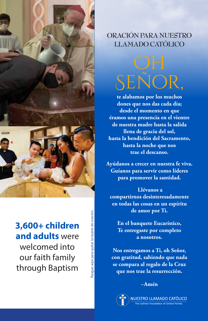

## **3,600+ children and adults** were welcomed into our faith family through Baptism

Rasgue aquí para quitar la tarjeta de oración. asgue aquí para quitar la tarjeta de oración

### **ORACIÓN PARA NUESTRO LLAMADO CATÓLICO**



**te alabamos por los muchos dones que nos das cada día; desde el momento en que éramos una presencia en el vientre de nuestra madre hasta la salida llena de gracia del sol, hasta la bendición del Sacramento, hasta la noche que nos trae el descanso.**

**Ayúdanos a crecer en nuestra fe viva. Guíanos para servir como líderes para promover la santidad.** 

 **Llévanos a compartirnos desinteresadamente en todas las cosas en un espíritu de amor por Ti.**

**En el banquete Eucarístico, Te entregaste por completo a nosotros.**

**Nos entregamos a Ti, oh Señor, con gratitud, sabiendo que nada se compara al regalo de la Cruz que nos trae la resurrección.** 

#### **~Amén**

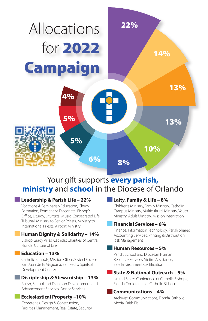

### Your gift supports **every parish, ministry** and **school** in the Diocese of Orlando **5%**

#### **Leadership & Parish Life – 22% 7%**

Vocations & Seminarian Education, Clergy Formation, Permanent Diaconate, Bishop's Office, Liturgy, Liturgical Music, Consecrated Life, **8%** Tribunal, Ministry to Senior Priests, Ministry to International Priests, Airport Ministry 19%

#### **Human Dignity & Solidarity – 14%**

Bishop Grady Villas, Catholic Charities of Central<br>Florida, Culture of Life Florida, Culture of Life

#### **Education – 13%**

Catholic Schools, Mission Office/Sister Diocese 10%San Juan de la Maguana, San Pedro Spiritual Development Center

#### **Discipleship & Stewardship – 13%**

Parish, School and Diocesan Development and Advancement Services, Donor Services

#### **Ecclesiastical Property –10%**

Cemeteries, Design & Construction, Facilities Management, Real Estate, Security

#### **Laity, Family & Life – 8%**

Children's Ministry, Family Ministry, Catholic Campus Ministry, Multicultural Ministry, Youth Ministry, Adult Ministry, Mission Integration

#### **Financial Services – 6%**

Finance, Information Technology, Parish Shared Accounting Services, Printing & Distribution, Risk Management

#### **Human Resources – 5%**

Parish, School and Diocesan Human Resource Services, Victim Assistance, Safe Environment Certification

#### **State & National Outreach – 5%**

United States Conference of Catholic Bishops, Florida Conference of Catholic Bishops

#### **Communications – 4%**

Archivist, Communications, Florida Catholic Media, Faith Fit